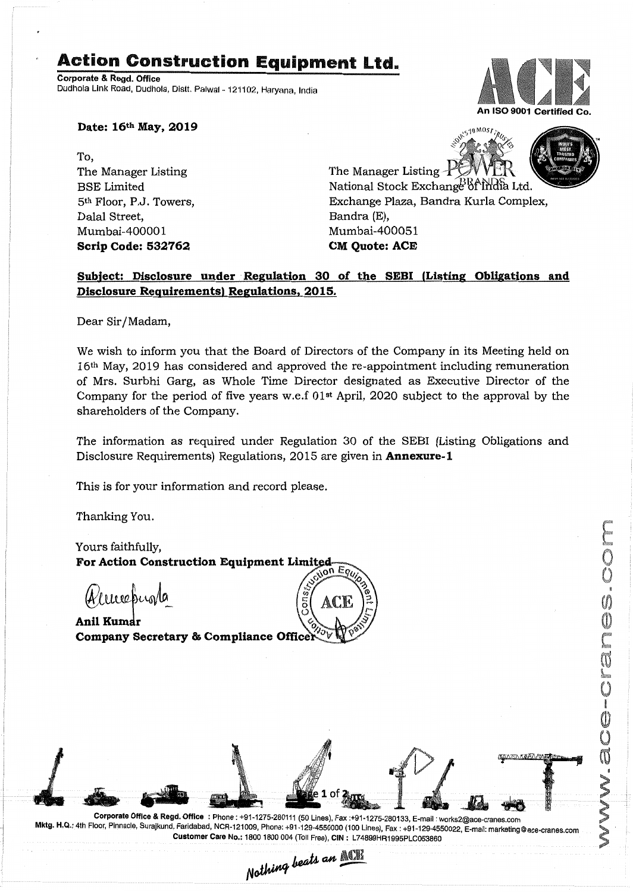## **Action Construction Equipment** Ltd..

Corporate & Regd. Office Dudhola Link Road, Dudhola, Distt. Palwal - 121102, Haryana, India



**Date: 16th May, 2019**

To, The Manager Listing BSE Limited 5th Floor, P.J. Towers, Dalal Street, Mumbai-40000 1 **Scrip Code: 532762**

The Manager Listing  $\pm$ National Stock Exchange of India Ltd. Exchange Plaza, Bandra Kurla Complex, Bandra (E), Mumbai-400051 **CM** Ouote: ACE

S<sub>10</sub> MOST<sub>TRO</sub>

## Subject: Disclosure under Regulation 30 of the SEBI (Listing Obligations and **Disclosure Requirements) Regulations, 2015.**

Dear Sir/Madam,

We wish to inform you that the Board of Directors of the Company in its Meeting held on 16th May, 2019 has considered and approved the re-appointment including remuneration of Mrs. Surbhi Garg, as Whole Time Director designated as Executive Director of the Company for the period of five years w.e.f  $01<sup>st</sup>$  April, 2020 subject to the approval by the shareholders of the Company.

The information as required under Regulation 30 of the SEB! (Listing Obligations and Disclosure Requirements) Regulations, 2015 are given in **Annexure-1**

This is for your information and record please.

Thanking You.

Yours faithfully, For Action Construction Equipment Limited jon Equ

mechinle

Anil Kumar Company Secretary & Compliance Officer



Nothing beats an ACE